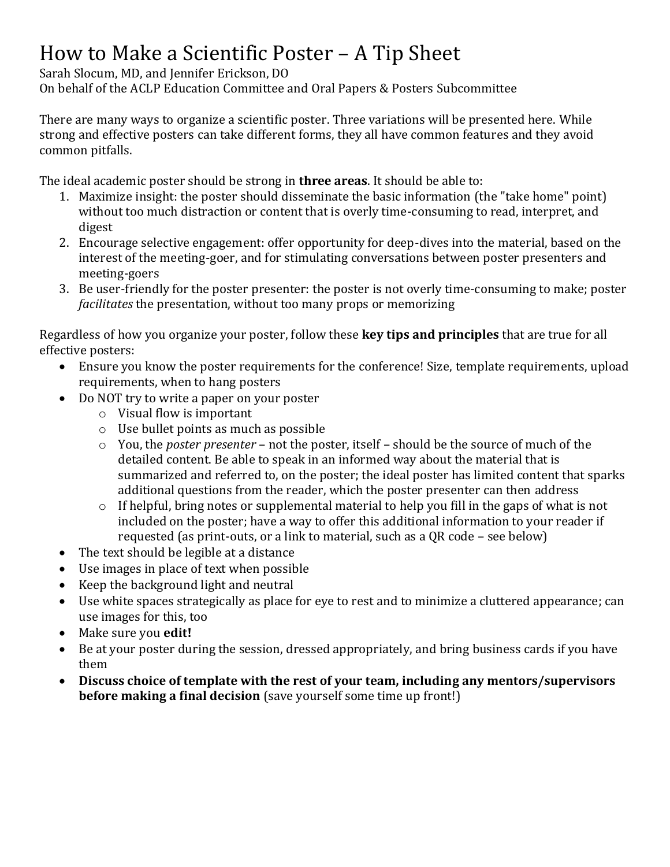### How to Make a Scientific Poster – A Tip Sheet

Sarah Slocum, MD, and Jennifer Erickson, DO

On behalf of the ACLP Education Committee and Oral Papers & Posters Subcommittee

There are many ways to organize a scientific poster. Three variations will be presented here. While strong and effective posters can take different forms, they all have common features and they avoid common pitfalls.

The ideal academic poster should be strong in **three areas**. It should be able to:

- 1. Maximize insight: the poster should disseminate the basic information (the "take home" point) without too much distraction or content that is overly time-consuming to read, interpret, and digest
- 2. Encourage selective engagement: offer opportunity for deep-dives into the material, based on the interest of the meeting-goer, and for stimulating conversations between poster presenters and meeting-goers
- 3. Be user-friendly for the poster presenter: the poster is not overly time-consuming to make; poster *facilitates* the presentation, without too many props or memorizing

Regardless of how you organize your poster, follow these **key tips and principles** that are true for all effective posters:

- Ensure you know the poster requirements for the conference! Size, template requirements, upload requirements, when to hang posters
- Do NOT try to write a paper on your poster
	- o Visual flow is important
	- o Use bullet points as much as possible
	- o You, the *poster presenter* not the poster, itself should be the source of much of the detailed content. Be able to speak in an informed way about the material that is summarized and referred to, on the poster; the ideal poster has limited content that sparks additional questions from the reader, which the poster presenter can then address
	- o If helpful, bring notes or supplemental material to help you fill in the gaps of what is not included on the poster; have a way to offer this additional information to your reader if requested (as print-outs, or a link to material, such as a QR code – see below)
- The text should be legible at a distance
- Use images in place of text when possible
- Keep the background light and neutral
- Use white spaces strategically as place for eye to rest and to minimize a cluttered appearance; can use images for this, too
- Make sure you **edit!**
- Be at your poster during the session, dressed appropriately, and bring business cards if you have them
- **Discuss choice of template with the rest of your team, including any mentors/supervisors before making a final decision** (save yourself some time up front!)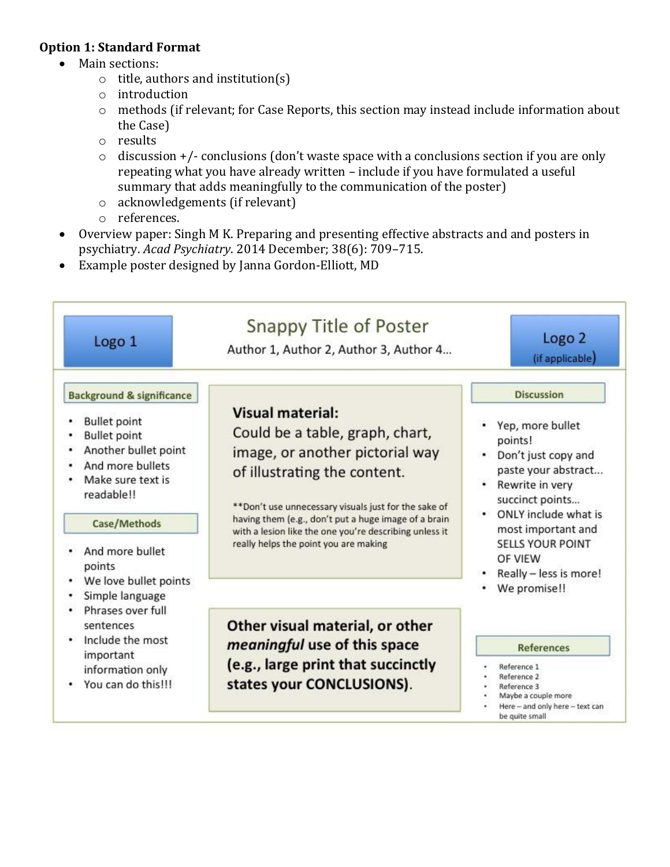#### **Option 1: Standard Format**

- Main sections:
	- o title, authors and institution(s)
	- o introduction
	- o methods (if relevant; for Case Reports, this section may instead include information about the Case)
	- o results
	- $\circ$  discussion +/- conclusions (don't waste space with a conclusions section if you are only repeating what you have already written – include if you have formulated a useful summary that adds meaningfully to the communication of the poster)
	- o acknowledgements (if relevant)
	- o references.
- Overview paper: Singh M K. Preparing and presenting effective abstracts and and posters in psychiatry. *Acad Psychiatry*. 2014 December; 38(6): 709–715.
- Example poster designed by Janna Gordon-Elliott, MD

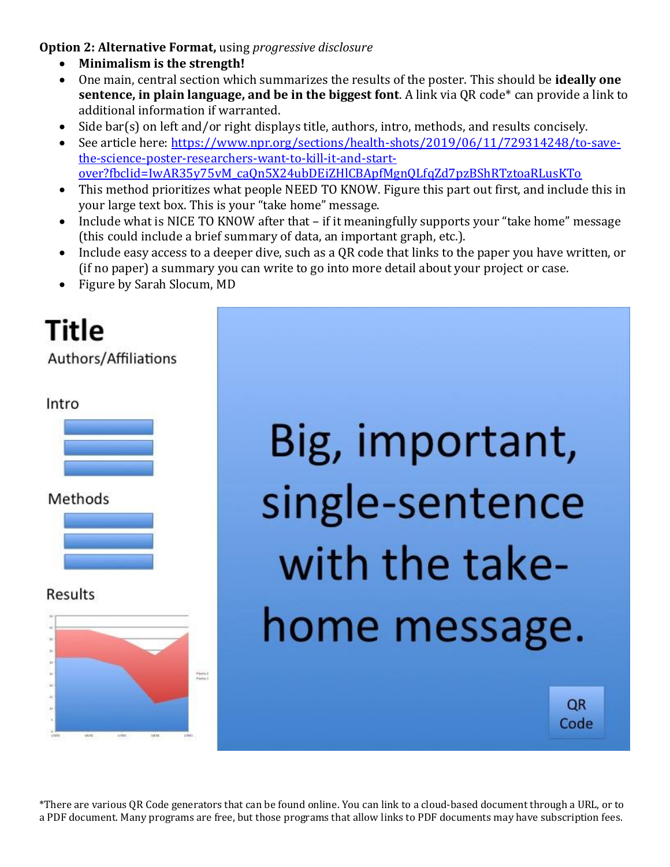**Option 2: Alternative Format,** using *progressive disclosure*

- **Minimalism is the strength!**
- One main, central section which summarizes the results of the poster. This should be **ideally one sentence, in plain language, and be in the biggest font**. A link via QR code\* can provide a link to additional information if warranted.
- Side bar(s) on left and/or right displays title, authors, intro, methods, and results concisely.
- See article here: [https://www.npr.org/sections/health-shots/2019/06/11/729314248/to-save](https://www.npr.org/sections/health-shots/2019/06/11/729314248/to-save-the-science-poster-researchers-want-to-kill-it-and-start-over?fbclid=IwAR35y75vM_caQn5X24ubDEiZHlCBApfMgnQLfqZd7pzBShRTztoaRLusKTo)[the-science-poster-researchers-want-to-kill-it-and-start](https://www.npr.org/sections/health-shots/2019/06/11/729314248/to-save-the-science-poster-researchers-want-to-kill-it-and-start-over?fbclid=IwAR35y75vM_caQn5X24ubDEiZHlCBApfMgnQLfqZd7pzBShRTztoaRLusKTo)[over?fbclid=IwAR35y75vM\\_caQn5X24ubDEiZHlCBApfMgnQLfqZd7pzBShRTztoaRLusKTo](https://www.npr.org/sections/health-shots/2019/06/11/729314248/to-save-the-science-poster-researchers-want-to-kill-it-and-start-over?fbclid=IwAR35y75vM_caQn5X24ubDEiZHlCBApfMgnQLfqZd7pzBShRTztoaRLusKTo)
- This method prioritizes what people NEED TO KNOW. Figure this part out first, and include this in your large text box. This is your "take home" message.
- Include what is NICE TO KNOW after that if it meaningfully supports your "take home" message (this could include a brief summary of data, an important graph, etc.).
- Include easy access to a deeper dive, such as a QR code that links to the paper you have written, or (if no paper) a summary you can write to go into more detail about your project or case.
- Figure by Sarah Slocum, MD

## Title

Authors/Affiliations

#### Intro

| v |  |  |  |  |
|---|--|--|--|--|
|   |  |  |  |  |
|   |  |  |  |  |
|   |  |  |  |  |
|   |  |  |  |  |
|   |  |  |  |  |
|   |  |  |  |  |

Methods



Results



# Big, important, single-sentence with the takehome message.

**QR** Code

\*There are various QR Code generators that can be found online. You can link to a cloud-based document through a URL, or to a PDF document. Many programs are free, but those programs that allow links to PDF documents may have subscription fees.